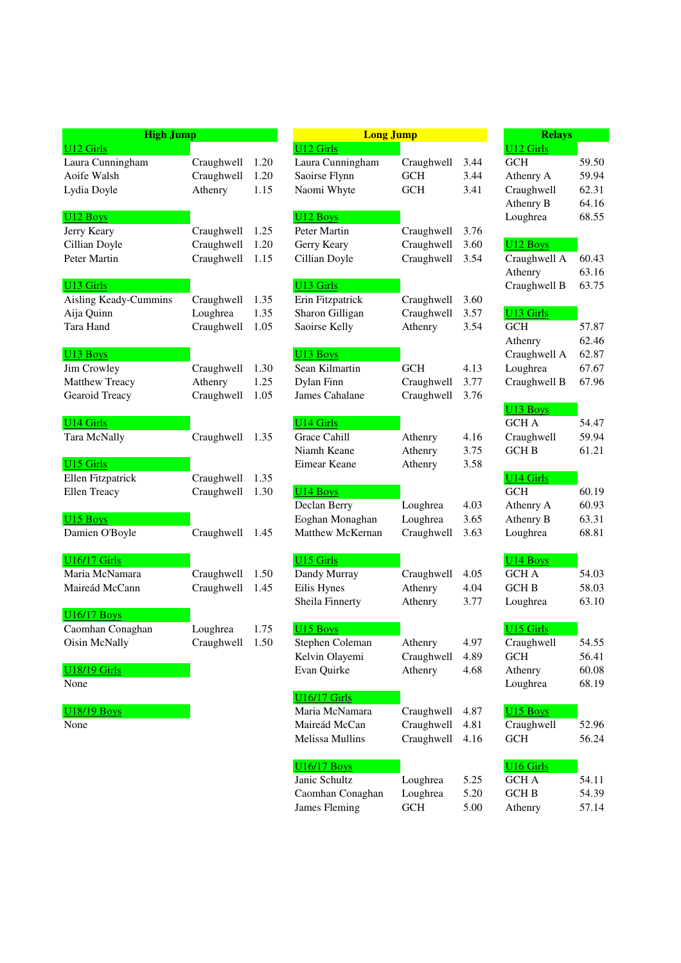| <b>High Jump</b>      |            |      | <b>Long Jump</b>     |            |      |
|-----------------------|------------|------|----------------------|------------|------|
| <b>U12 Girls</b>      |            |      | U12 Girls            |            |      |
| Laura Cunningham      | Craughwell | 1.20 | Laura Cunningham     | Craughwell | 3.44 |
| Aoife Walsh           | Craughwell | 1.20 | Saoirse Flynn        | <b>GCH</b> | 3.44 |
| Lydia Doyle           | Athenry    | 1.15 | Naomi Whyte          | <b>GCH</b> | 3.41 |
| U <sub>12</sub> Boys  |            |      | U <sub>12</sub> Boys |            |      |
| Jerry Keary           | Craughwell | 1.25 | Peter Martin         | Craughwell | 3.76 |
| Cillian Doyle         | Craughwell | 1.20 | Gerry Keary          | Craughwell | 3.60 |
| Peter Martin          | Craughwell | 1.15 | Cillian Doyle        | Craughwell | 3.54 |
| U <sub>13</sub> Girls |            |      | U13 Girls            |            |      |
| Aisling Keady-Cummins | Craughwell | 1.35 | Erin Fitzpatrick     | Craughwell | 3.60 |
| Aija Quinn            | Loughrea   | 1.35 | Sharon Gilligan      | Craughwell | 3.57 |
| Tara Hand             | Craughwell | 1.05 | Saoirse Kelly        | Athenry    | 3.54 |
| U <sub>13</sub> Boys  |            |      | U <sub>13</sub> Boys |            |      |
| Jim Crowley           | Craughwell | 1.30 | Sean Kilmartin       | <b>GCH</b> | 4.13 |
| <b>Matthew Treacy</b> | Athenry    | 1.25 | Dylan Finn           | Craughwell | 3.77 |
| Gearoid Treacy        | Craughwell | 1.05 | James Cahalane       | Craughwell | 3.76 |
| <b>U14 Girls</b>      |            |      | <b>U14 Girls</b>     |            |      |
| <b>Tara McNally</b>   | Craughwell | 1.35 | Grace Cahill         | Athenry    | 4.16 |
|                       |            |      | Niamh Keane          | Athenry    | 3.75 |
| U <sub>15</sub> Girls |            |      | Eimear Keane         | Athenry    | 3.58 |
| Ellen Fitzpatrick     | Craughwell | 1.35 |                      |            |      |
| Ellen Treacy          | Craughwell | 1.30 | U <sub>14</sub> Boys |            |      |
|                       |            |      | Declan Berry         | Loughrea   | 4.03 |
| U <sub>15</sub> Boys  |            |      | Eoghan Monaghan      | Loughrea   | 3.65 |
| Damien O'Boyle        | Craughwell | 1.45 | Matthew McKernan     | Craughwell | 3.63 |
| <b>U16/17 Girls</b>   |            |      | U15 Girls            |            |      |
| Maria McNamara        | Craughwell | 1.50 | Dandy Murray         | Craughwell | 4.05 |
| Maireád McCann        | Craughwell | 1.45 | Eilis Hynes          | Athenry    | 4.04 |
|                       |            |      | Sheila Finnerty      | Athenry    | 3.77 |
| <b>U16/17 Boys</b>    |            |      |                      |            |      |
| Caomhan Conaghan      | Loughrea   | 1.75 | U15 Boys             |            |      |
| Oisin McNally         | Craughwell | 1.50 | Stephen Coleman      | Athenry    | 4.97 |
|                       |            |      | Kelvin Olayemi       | Craughwell | 4.89 |
| <b>U18/19 Girls</b>   |            |      | Evan Quirke          | Athenry    | 4.68 |
| None                  |            |      | <b>U16/17 Girls</b>  |            |      |
| $1118/19$ Rovs        |            |      | Maria McNamara       | Craughwell | 487  |

|                          | <b>High Jump</b> |      | <b>Long Jump</b>            | <b>Relays</b> |              |                       |       |
|--------------------------|------------------|------|-----------------------------|---------------|--------------|-----------------------|-------|
| U <sub>12</sub> Girls    |                  |      | U12 Girls                   |               |              | <b>U12 Girls</b>      |       |
| Laura Cunningham         | Craughwell       | 1.20 | Laura Cunningham            | Craughwell    | 3.44         | <b>GCH</b>            | 59.50 |
| Aoife Walsh              | Craughwell       | 1.20 | Saoirse Flynn               | <b>GCH</b>    | 3.44         | Athenry A             | 59.94 |
| Lydia Doyle              | Athenry          | 1.15 | Naomi Whyte                 | <b>GCH</b>    | 3.41         | Craughwell            | 62.31 |
|                          |                  |      |                             |               |              | Athenry B             | 64.16 |
| U <sub>12</sub> Boys     |                  |      | U <sub>12</sub> Boys        |               |              | Loughrea              | 68.55 |
| Jerry Keary              | Craughwell       | 1.25 | Peter Martin                | Craughwell    | 3.76         |                       |       |
| Cillian Doyle            | Craughwell       | 1.20 | Gerry Keary                 | Craughwell    | 3.60         | U12 Boys              |       |
| Peter Martin             | Craughwell       | 1.15 | Cillian Doyle               | Craughwell    | 3.54         | Craughwell A          | 60.43 |
|                          |                  |      |                             |               |              | Athenry               | 63.16 |
| U <sub>13</sub> Girls    |                  |      | <b>U13 Girls</b>            |               |              | Craughwell B          | 63.75 |
| Aisling Keady-Cummins    | Craughwell       | 1.35 | Erin Fitzpatrick            | Craughwell    | 3.60         |                       |       |
| Aija Quinn               | Loughrea         | 1.35 | Sharon Gilligan             | Craughwell    | 3.57         | <b>U13 Girls</b>      |       |
| Tara Hand                | Craughwell       | 1.05 | Saoirse Kelly               | Athenry       | 3.54         | <b>GCH</b>            | 57.87 |
|                          |                  |      |                             |               |              | Athenry               | 62.46 |
| U <sub>13</sub> Boys     |                  |      | U <sub>13</sub> Boys        |               |              | Craughwell A          | 62.87 |
| Jim Crowley              | Craughwell       | 1.30 | Sean Kilmartin              | <b>GCH</b>    | 4.13         | Loughrea              | 67.67 |
| Matthew Treacy           | Athenry          | 1.25 | Dylan Finn                  | Craughwell    | 3.77         | Craughwell B          | 67.96 |
| Gearoid Treacy           | Craughwell       | 1.05 | James Cahalane              | Craughwell    | 3.76         |                       |       |
|                          |                  |      |                             |               |              | U <sub>13</sub> Boys  |       |
| U <sub>14</sub> Girls    |                  |      | U14 Girls                   |               |              | <b>GCH A</b>          | 54.47 |
| Tara McNally             | Craughwell       | 1.35 | Grace Cahill                | Athenry       | 4.16         | Craughwell            | 59.94 |
| U <sub>15</sub> Girls    |                  |      | Niamh Keane<br>Eimear Keane | Athenry       | 3.75<br>3.58 | <b>GCH B</b>          | 61.21 |
| <b>Ellen Fitzpatrick</b> | Craughwell       | 1.35 |                             | Athenry       |              | U <sub>14</sub> Girls |       |
| Ellen Treacy             | Craughwell       | 1.30 | U <sub>14</sub> Boys        |               |              | <b>GCH</b>            | 60.19 |
|                          |                  |      | Declan Berry                | Loughrea      | 4.03         | Athenry A             | 60.93 |
| U <sub>15</sub> Boys     |                  |      | Eoghan Monaghan             | Loughrea      | 3.65         | Athenry B             | 63.31 |
| Damien O'Boyle           | Craughwell       | 1.45 | Matthew McKernan            | Craughwell    | 3.63         | Loughrea              | 68.81 |
|                          |                  |      |                             |               |              |                       |       |
| <b>U16/17 Girls</b>      |                  |      | <b>U15 Girls</b>            |               |              | U <sub>14</sub> Boys  |       |
| Maria McNamara           | Craughwell       | 1.50 | Dandy Murray                | Craughwell    | 4.05         | <b>GCH A</b>          | 54.03 |
| Maireád McCann           | Craughwell       | 1.45 | Eilis Hynes                 | Athenry       | 4.04         | <b>GCH B</b>          | 58.03 |
|                          |                  |      | Sheila Finnerty             | Athenry       | 3.77         | Loughrea              | 63.10 |
| <b>U16/17 Boys</b>       |                  |      |                             |               |              |                       |       |
| Caomhan Conaghan         | Loughrea         | 1.75 | U <sub>15</sub> Boys        |               |              | U15 Girls             |       |
| Oisin McNally            | Craughwell 1.50  |      | Stephen Coleman             | Athenry       | 4.97         | Craughwell            | 54.55 |
|                          |                  |      | Kelvin Olayemi              | Craughwell    | 4.89         | GCH                   | 56.41 |
| <b>U18/19 Girls</b>      |                  |      | Evan Quirke                 | Athenry       | 4.68         | Athenry               | 60.08 |
| None                     |                  |      |                             |               |              | Loughrea              | 68.19 |
|                          |                  |      | <b>U16/17 Girls</b>         |               |              |                       |       |
| U18/19 Boys              |                  |      | Maria McNamara              | Craughwell    | 4.87         | U <sub>15</sub> Boys  |       |
| None                     |                  |      | Maireád McCan               | Craughwell    | 4.81         | Craughwell            | 52.96 |
|                          |                  |      | Melissa Mullins             | Craughwell    | 4.16         | <b>GCH</b>            | 56.24 |
|                          |                  |      | <b>U16/17 Boys</b>          |               |              | U16 Girls             |       |
|                          |                  |      | Janic Schultz               | Loughrea      | 5.25         | GCH A                 | 54.11 |
|                          |                  |      | Caomhan Conaghan            | Loughrea      | 5.20         | <b>GCH B</b>          | 54.39 |
|                          |                  |      | James Fleming               | <b>GCH</b>    | 5.00         | Athenry               | 57.14 |
|                          |                  |      |                             |               |              |                       |       |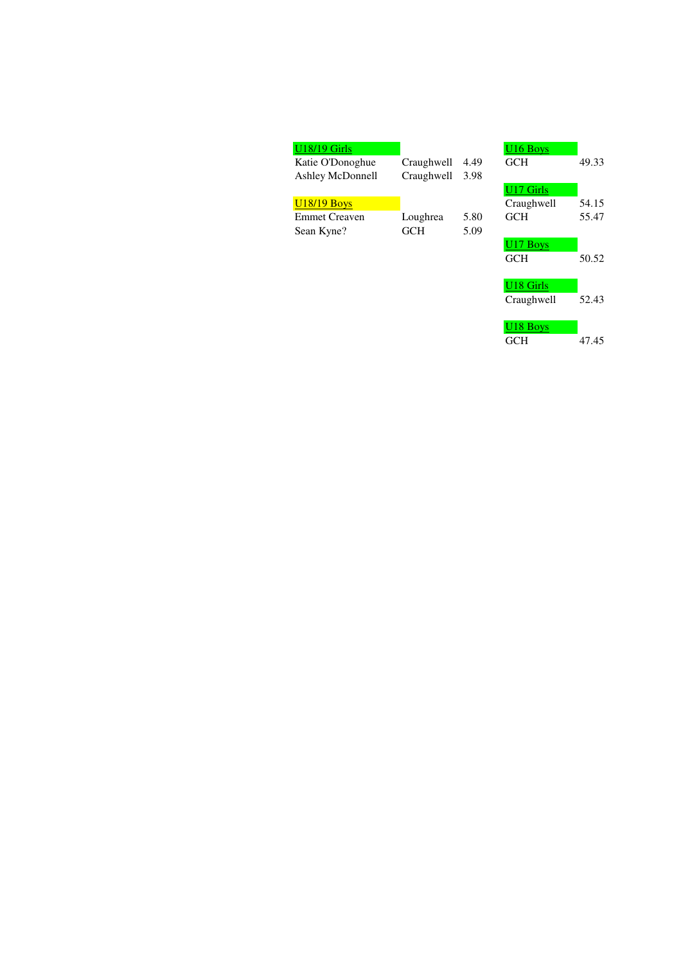| <b>U18/19 Girls</b>  |            |      | U <sub>16</sub> Boys |       |
|----------------------|------------|------|----------------------|-------|
| Katie O'Donoghue     | Craughwell | 4.49 | <b>GCH</b>           | 49.33 |
| Ashley McDonnell     | Craughwell | 3.98 |                      |       |
|                      |            |      | U17 Girls            |       |
| <b>U18/19 Boys</b>   |            |      | Craughwell           | 54.15 |
| <b>Emmet Creaven</b> | Loughrea   | 5.80 | <b>GCH</b>           | 55.47 |
| Sean Kyne?           | <b>GCH</b> | 5.09 |                      |       |
|                      |            |      | U <sub>17</sub> Boys |       |
|                      |            |      | <b>GCH</b>           | 50.52 |
|                      |            |      |                      |       |

| U <sub>10</sub> Boys<br>GCH                | 49.33          |
|--------------------------------------------|----------------|
| U <sub>17</sub> Girls<br>Craughwell<br>GCH | 54.15<br>55.47 |
| U <sub>17</sub> Boys<br>GCH                | 50.52          |
| U18 Girls<br>Craughwell                    | 52.43          |
| U <sub>18</sub> Boys<br>GCH                | 47.45          |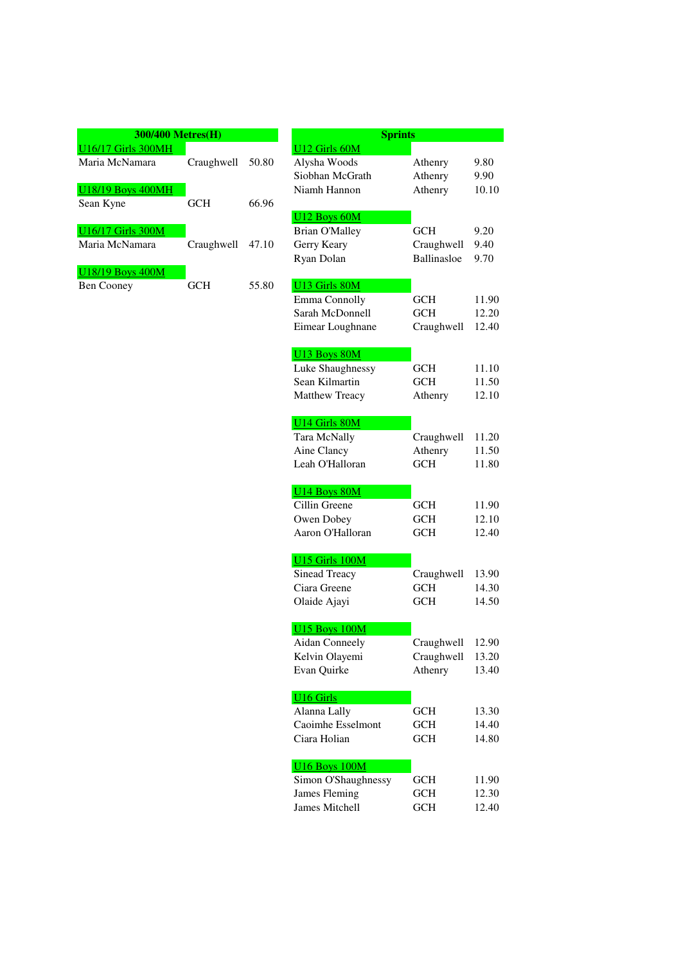| <b>300/400 Metres(H)</b>  |                  |       |                 | <b>Sprints</b> |
|---------------------------|------------------|-------|-----------------|----------------|
| <b>U16/17 Girls 300MH</b> |                  |       | U12 Girls 60M   |                |
| Maria McNamara            | Craughwell 50.80 |       | Alysha Woods    |                |
|                           |                  |       | Siobhan McGrath |                |
| U18/19 Boys 400MH         |                  |       | Niamh Hannon    |                |
| Sean Kyne                 | <b>GCH</b>       | 66.96 |                 |                |
|                           |                  |       | U12 Boys 60M    |                |
| U16/17 Girls 300M         |                  |       | Brian O'Malley  |                |
| Maria McNamara            | Craughwell       | 47.10 | Gerry Keary     |                |
|                           |                  |       | Ryan Dolan      |                |
| U18/19 Boys 400M          |                  |       |                 |                |
| <b>Ben Cooney</b>         | GCH              | 55.80 | 13 Girls 80M    |                |

|                           | 300/400 Metres(H) |       | <b>Sprints</b>                     |                          |                |
|---------------------------|-------------------|-------|------------------------------------|--------------------------|----------------|
| <b>U16/17 Girls 300MH</b> |                   |       | U12 Girls 60M                      |                          |                |
| Maria McNamara            | Craughwell        | 50.80 | Alysha Woods                       | Athenry                  | 9.80           |
|                           |                   |       | Siobhan McGrath                    | Athenry                  | 9.90           |
| <b>U18/19 Boys 400MH</b>  |                   |       | Niamh Hannon                       | Athenry                  | 10.10          |
| Sean Kyne                 | <b>GCH</b>        | 66.96 |                                    |                          |                |
|                           |                   |       | U12 Boys 60M                       |                          |                |
| <b>U16/17 Girls 300M</b>  |                   |       | <b>Brian O'Malley</b>              | <b>GCH</b>               | 9.20           |
| Maria McNamara            | Craughwell        | 47.10 | Gerry Keary                        | Craughwell               | 9.40           |
|                           |                   |       | Ryan Dolan                         | Ballinasloe              | 9.70           |
| U18/19 Boys 400M          |                   |       |                                    |                          |                |
| <b>Ben Cooney</b>         | <b>GCH</b>        | 55.80 | U13 Girls 80M                      |                          |                |
|                           |                   |       | Emma Connolly                      | <b>GCH</b>               | 11.90          |
|                           |                   |       | Sarah McDonnell                    | <b>GCH</b>               | 12.20          |
|                           |                   |       | Eimear Loughnane                   | Craughwell               | 12.40          |
|                           |                   |       |                                    |                          |                |
|                           |                   |       | U13 Boys 80M                       |                          |                |
|                           |                   |       | Luke Shaughnessy<br>Sean Kilmartin | <b>GCH</b>               | 11.10          |
|                           |                   |       |                                    | <b>GCH</b>               | 11.50          |
|                           |                   |       | Matthew Treacy                     | Athenry                  | 12.10          |
|                           |                   |       | U14 Girls 80M                      |                          |                |
|                           |                   |       | <b>Tara McNally</b>                | Craughwell               | 11.20          |
|                           |                   |       | Aine Clancy                        | Athenry                  | 11.50          |
|                           |                   |       | Leah O'Halloran                    | <b>GCH</b>               | 11.80          |
|                           |                   |       |                                    |                          |                |
|                           |                   |       | U14 Boys 80M                       |                          |                |
|                           |                   |       | Cillin Greene                      | <b>GCH</b>               | 11.90          |
|                           |                   |       | Owen Dobey                         | <b>GCH</b>               | 12.10          |
|                           |                   |       | Aaron O'Halloran                   | <b>GCH</b>               | 12.40          |
|                           |                   |       |                                    |                          |                |
|                           |                   |       | U15 Girls 100M                     |                          |                |
|                           |                   |       | Sinead Treacy                      | Craughwell               | 13.90          |
|                           |                   |       | Ciara Greene                       | <b>GCH</b>               | 14.30          |
|                           |                   |       | Olaide Ajayi                       | <b>GCH</b>               | 14.50          |
|                           |                   |       |                                    |                          |                |
|                           |                   |       | <b>U15 Boys 100M</b>               |                          |                |
|                           |                   |       | Aidan Conneely                     | Craughwell               | 12.90          |
|                           |                   |       | Kelvin Olayemi                     | Craughwell               | 13.20          |
|                           |                   |       | Evan Quirke                        | Athenry                  | 13.40          |
|                           |                   |       |                                    |                          |                |
|                           |                   |       | <b>U16 Girls</b>                   |                          |                |
|                           |                   |       | Alanna Lally<br>Caoimhe Esselmont  | <b>GCH</b><br><b>GCH</b> | 13.30<br>14.40 |
|                           |                   |       | Ciara Holian                       |                          |                |
|                           |                   |       |                                    | <b>GCH</b>               | 14.80          |
|                           |                   |       | <b>U16 Boys 100M</b>               |                          |                |
|                           |                   |       | Simon O'Shaughnessy                | <b>GCH</b>               | 11.90          |
|                           |                   |       | James Fleming                      | <b>GCH</b>               | 12.30          |
|                           |                   |       | James Mitchell                     | <b>GCH</b>               | 12.40          |
|                           |                   |       |                                    |                          |                |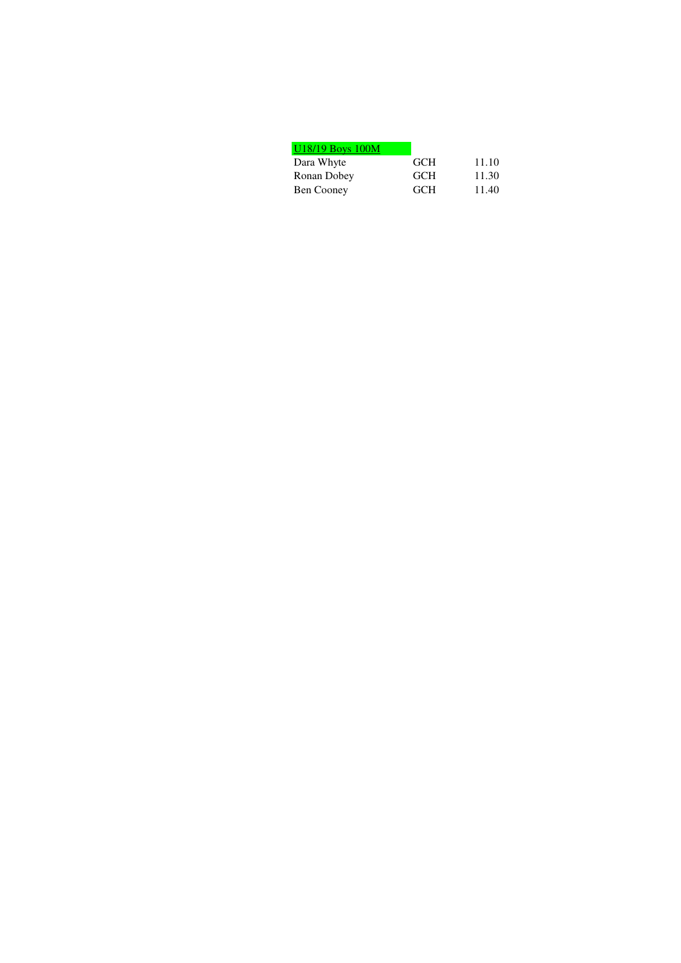| U18/19 Boys 100M |            |       |
|------------------|------------|-------|
| Dara Whyte       | <b>GCH</b> | 11.10 |
| Ronan Dobey      | <b>GCH</b> | 11.30 |
| Ben Cooney       | <b>GCH</b> | 11.40 |
|                  |            |       |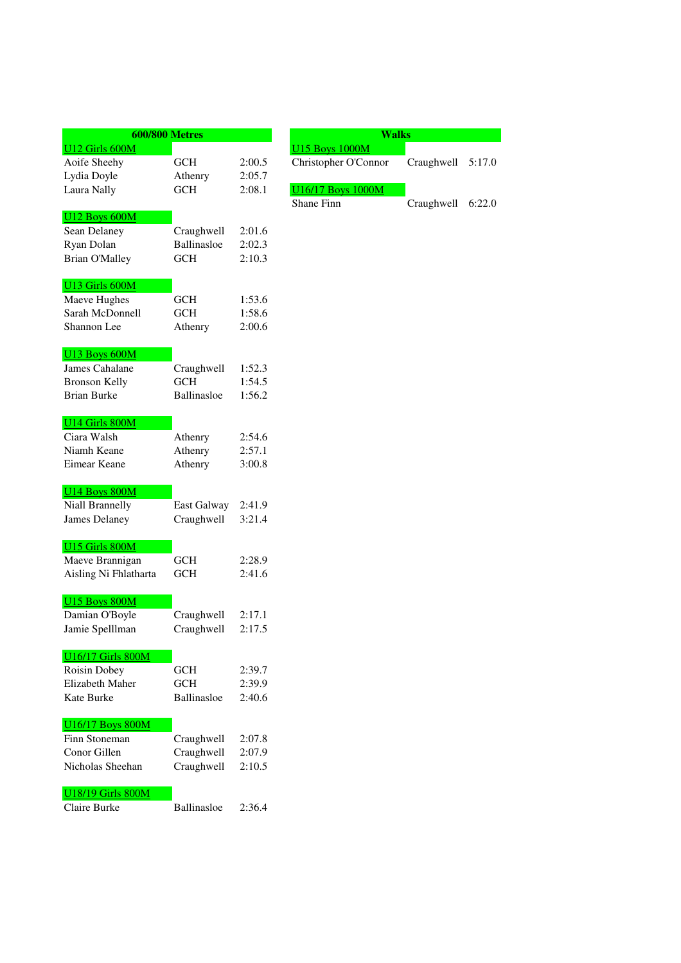|                               | <b>600/800 Metres</b> |        |
|-------------------------------|-----------------------|--------|
| U12 Girls 600M                |                       |        |
| Aoife Sheehy                  | <b>GCH</b>            | 2:00.5 |
| Lydia Doyle                   | Athenry               | 2:05.7 |
| Laura Nally                   | <b>GCH</b>            | 2:08.1 |
|                               |                       |        |
| U12 Boys 600M                 |                       |        |
| Sean Delaney                  | Craughwell            | 2:01.6 |
| Ryan Dolan                    | Ballinasloe           | 2:02.3 |
| <b>Brian O'Malley</b>         | <b>GCH</b>            | 2:10.3 |
| U13 Girls 600M                |                       |        |
| Maeve Hughes                  | GCH                   | 1:53.6 |
| Sarah McDonnell               | <b>GCH</b>            | 1:58.6 |
| Shannon Lee                   | Athenry               | 2:00.6 |
|                               |                       |        |
| U13 Boys 600M                 |                       |        |
| James Cahalane                | Craughwell            | 1:52.3 |
| <b>Bronson Kelly</b>          | <b>GCH</b>            | 1:54.5 |
| <b>Brian Burke</b>            | Ballinasloe           | 1:56.2 |
|                               |                       |        |
| U14 Girls 800M<br>Ciara Walsh |                       | 2:54.6 |
| Niamh Keane                   | Athenry               | 2:57.1 |
|                               | Athenry               |        |
| Eimear Keane                  | Athenry               | 3:00.8 |
| <b>U14 Boys 800M</b>          |                       |        |
| Niall Brannelly               | East Galway           | 2:41.9 |
| <b>James Delaney</b>          | Craughwell            | 3:21.4 |
|                               |                       |        |
| U15 Girls 800M                |                       |        |
| Maeve Brannigan               | <b>GCH</b>            | 2:28.9 |
| Aisling Ni Fhlatharta         | <b>GCH</b>            | 2:41.6 |
|                               |                       |        |
| <b>U15 Boys 800M</b>          |                       |        |
| Damian O'Boyle                | Craughwell            | 2:17.1 |
| Jamie Spelllman               | Craughwell            | 2:17.5 |
| <b>U16/17 Girls 800M</b>      |                       |        |
| Roisin Dobey                  | GCH                   | 2:39.7 |
| Elizabeth Maher               | <b>GCH</b>            | 2:39.9 |
| Kate Burke                    | Ballinasloe           | 2:40.6 |
|                               |                       |        |
| <b>U16/17 Boys 800M</b>       |                       |        |
| Finn Stoneman                 | Craughwell            | 2:07.8 |
| Conor Gillen                  | Craughwell            | 2:07.9 |
| Nicholas Sheehan              | Craughwell            | 2:10.5 |
|                               |                       |        |
| <b>U18/19 Girls 800M</b>      |                       |        |
| Claire Burke                  | Ballinasloe           | 2:36.4 |

| Walks                                         |                   |  |
|-----------------------------------------------|-------------------|--|
| <b>U15 Boys 1000M</b><br>Christopher O'Connor | Craughwell 5:17.0 |  |
| U <sub>16</sub> /17 Boys 1000M<br>Shane Finn  | Craughwell 6:22.0 |  |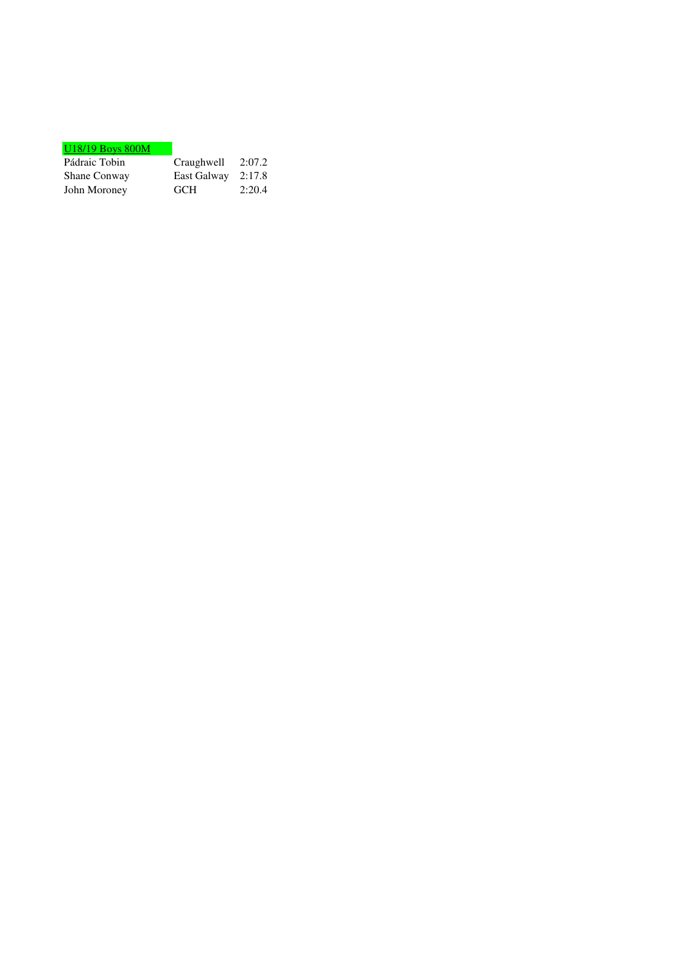| Craughwell | 2:07.2      |
|------------|-------------|
|            | 2:17.8      |
| <b>GCH</b> | 2:20.4      |
|            | East Galway |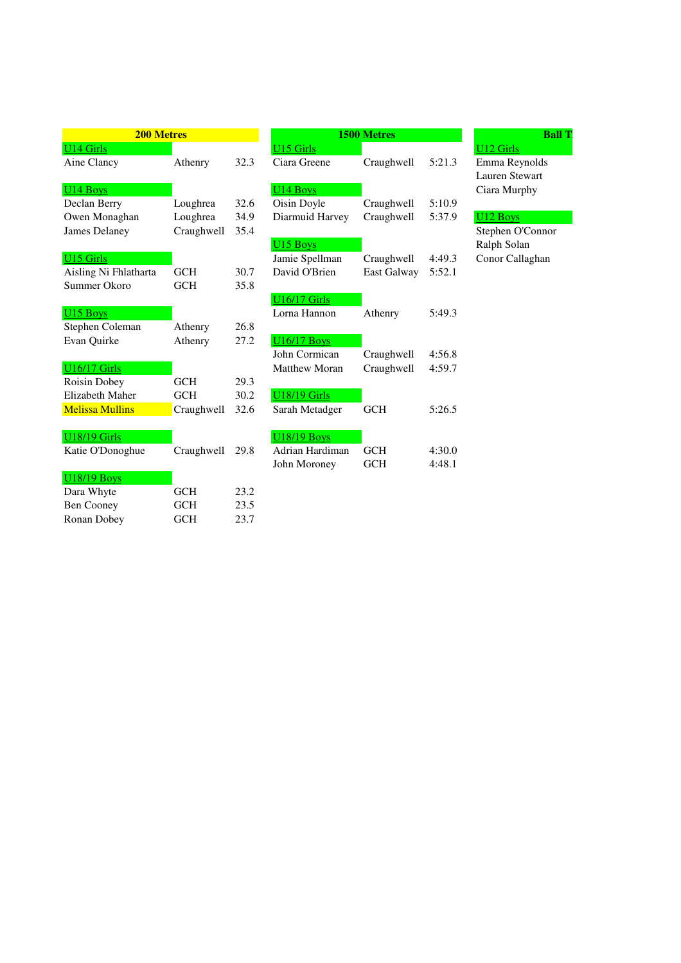| <b>200 Metres</b>      |            |      |                      |
|------------------------|------------|------|----------------------|
| <b>U14 Girls</b>       |            |      | U15 Girls            |
| Aine Clancy            | Athenry    | 32.3 | Ciara Greene         |
| U <sub>14</sub> Boys   |            |      | U <sub>14</sub> Boys |
| Declan Berry           | Loughrea   | 32.6 | Oisin Doyle          |
| Owen Monaghan          | Loughrea   | 34.9 | Diarmuid Ha          |
| James Delaney          | Craughwell | 35.4 |                      |
|                        |            |      | U15 Boys             |
| U <sub>15</sub> Girls  |            |      | Jamie Spellm         |
| Aisling Ni Fhlatharta  | <b>GCH</b> | 30.7 | David O'Brie         |
| Summer Okoro           | <b>GCH</b> | 35.8 |                      |
|                        |            |      | <b>U16/17 Girls</b>  |
| U <sub>15</sub> Boys   |            |      | Lorna Hanno          |
| Stephen Coleman        | Athenry    | 26.8 |                      |
| Evan Quirke            | Athenry    | 27.2 | <b>U16/17 Boys</b>   |
|                        |            |      | John Cormica         |
| <b>U16/17 Girls</b>    |            |      | Matthew Mo           |
| Roisin Dobey           | <b>GCH</b> | 29.3 |                      |
| Elizabeth Maher        | <b>GCH</b> | 30.2 | <b>U18/19 Girls</b>  |
| <b>Melissa Mullins</b> | Craughwell | 32.6 | Sarah Metadg         |
| <b>U18/19 Girls</b>    |            |      | <b>U18/19 Boys</b>   |
| Katie O'Donoghue       | Craughwell | 29.8 | Adrian Hardi         |
|                        |            |      | John Morone          |
| <b>U18/19 Boys</b>     |            |      |                      |
| Dara Whyte             | <b>GCH</b> | 23.2 |                      |
| <b>Ben Cooney</b>      | <b>GCH</b> | 23.5 |                      |
| Ronan Dobey            | <b>GCH</b> | 23.7 |                      |

| <b>200 Metres</b>        |            |      | <b>1500 Metres</b>   |             |        |                       |
|--------------------------|------------|------|----------------------|-------------|--------|-----------------------|
| U <sub>14</sub> Girls    |            |      | U15 Girls            |             |        | U <sub>12</sub> Girls |
| Aine Clancy              | Athenry    | 32.3 | Ciara Greene         | Craughwell  | 5:21.3 | Emma Reynolds         |
|                          |            |      |                      |             |        | Lauren Stewart        |
| $U14$ Boys               |            |      | U <sub>14</sub> Boys |             |        | Ciara Murphy          |
| Declan Berry             | Loughrea   | 32.6 | Oisin Doyle          | Craughwell  | 5:10.9 |                       |
| Owen Monaghan            | Loughrea   | 34.9 | Diarmuid Harvey      | Craughwell  | 5:37.9 | U12 Boys              |
| James Delaney            | Craughwell | 35.4 |                      |             |        | Stephen O'Connor      |
|                          |            |      | U <sub>15</sub> Boys |             |        | Ralph Solan           |
| U <sub>15</sub> Girls    |            |      | Jamie Spellman       | Craughwell  | 4:49.3 | Conor Callaghan       |
| Aisling Ni Fhlatharta    | <b>GCH</b> | 30.7 | David O'Brien        | East Galway | 5:52.1 |                       |
| Summer Okoro             | <b>GCH</b> | 35.8 |                      |             |        |                       |
|                          |            |      | <b>U16/17 Girls</b>  |             |        |                       |
| U <sub>15</sub> Boys     |            |      | Lorna Hannon         | Athenry     | 5:49.3 |                       |
| Stephen Coleman          | Athenry    | 26.8 |                      |             |        |                       |
| Evan Quirke              | Athenry    | 27.2 | <b>U16/17 Boys</b>   |             |        |                       |
|                          |            |      | John Cormican        | Craughwell  | 4:56.8 |                       |
| <b>U16/17 Girls</b>      |            |      | Matthew Moran        | Craughwell  | 4:59.7 |                       |
| Roisin Dobey             | <b>GCH</b> | 29.3 |                      |             |        |                       |
| Elizabeth Maher          | <b>GCH</b> | 30.2 | <b>U18/19 Girls</b>  |             |        |                       |
| Melissa Mullins          | Craughwell | 32.6 | Sarah Metadger       | <b>GCH</b>  | 5:26.5 |                       |
|                          |            |      |                      |             |        |                       |
| <b>U18/19 Girls</b>      |            |      | <b>U18/19 Boys</b>   |             |        |                       |
| Katie O'Donoghue         | Craughwell | 29.8 | Adrian Hardiman      | <b>GCH</b>  | 4:30.0 |                       |
|                          |            |      | John Moroney         | <b>GCH</b>  | 4:48.1 |                       |
| <b>U18/19 Boys</b>       |            |      |                      |             |        |                       |
| $D$ <sub>oro</sub> White | CCH        | 222  |                      |             |        |                       |

## Lauren Stewart Ciara Murphy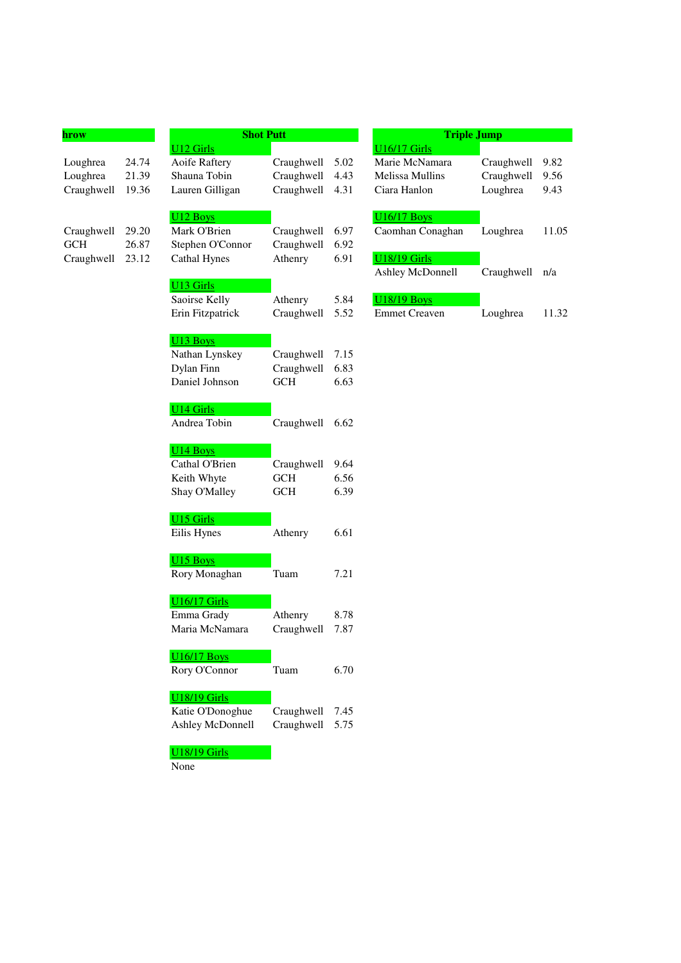| hrow       |       | <b>Shot Putt</b><br><b>U12 Girls</b>   |                 |      | <b>Triple Jump</b><br><b>U16/17 Girls</b> |            |       |  |
|------------|-------|----------------------------------------|-----------------|------|-------------------------------------------|------------|-------|--|
| Loughrea   | 24.74 | Aoife Raftery                          | Craughwell      | 5.02 | Marie McNamara                            | Craughwell | 9.82  |  |
| Loughrea   | 21.39 | Shauna Tobin                           | Craughwell      | 4.43 | Melissa Mullins                           | Craughwell | 9.56  |  |
| Craughwell | 19.36 | Lauren Gilligan                        | Craughwell      | 4.31 | Ciara Hanlon                              | Loughrea   | 9.43  |  |
|            |       |                                        |                 |      |                                           |            |       |  |
| Craughwell | 29.20 | U <sub>12</sub> Boys<br>Mark O'Brien   | Craughwell      | 6.97 | <b>U16/17 Boys</b><br>Caomhan Conaghan    | Loughrea   | 11.05 |  |
| <b>GCH</b> | 26.87 | Stephen O'Connor                       | Craughwell      | 6.92 |                                           |            |       |  |
| Craughwell | 23.12 | <b>Cathal Hynes</b>                    | Athenry         | 6.91 | <b>U18/19 Girls</b>                       |            |       |  |
|            |       |                                        |                 |      | Ashley McDonnell                          | Craughwell | n/a   |  |
|            |       | U <sub>13</sub> Girls<br>Saoirse Kelly | Athenry         | 5.84 | <b>U18/19 Boys</b>                        |            |       |  |
|            |       | Erin Fitzpatrick                       | Craughwell      | 5.52 | <b>Emmet Creaven</b>                      | Loughrea   | 11.32 |  |
|            |       |                                        |                 |      |                                           |            |       |  |
|            |       | U <sub>13</sub> Boys                   |                 |      |                                           |            |       |  |
|            |       | Nathan Lynskey                         | Craughwell      | 7.15 |                                           |            |       |  |
|            |       | Dylan Finn                             | Craughwell      | 6.83 |                                           |            |       |  |
|            |       | Daniel Johnson                         | <b>GCH</b>      | 6.63 |                                           |            |       |  |
|            |       | <b>U14 Girls</b>                       |                 |      |                                           |            |       |  |
|            |       | Andrea Tobin                           | Craughwell 6.62 |      |                                           |            |       |  |
|            |       | U <sub>14</sub> Boys                   |                 |      |                                           |            |       |  |
|            |       | Cathal O'Brien                         | Craughwell      | 9.64 |                                           |            |       |  |
|            |       | Keith Whyte                            | <b>GCH</b>      | 6.56 |                                           |            |       |  |
|            |       | Shay O'Malley                          | <b>GCH</b>      | 6.39 |                                           |            |       |  |
|            |       | <b>U15 Girls</b>                       |                 |      |                                           |            |       |  |
|            |       | Eilis Hynes                            | Athenry         | 6.61 |                                           |            |       |  |
|            |       | U <sub>15</sub> Boys                   |                 |      |                                           |            |       |  |
|            |       | Rory Monaghan                          | Tuam            | 7.21 |                                           |            |       |  |
|            |       | <b>U16/17 Girls</b>                    |                 |      |                                           |            |       |  |
|            |       | Emma Grady                             | Athenry         | 8.78 |                                           |            |       |  |
|            |       | Maria McNamara                         | Craughwell 7.87 |      |                                           |            |       |  |
|            |       | <b>U16/17 Boys</b>                     |                 |      |                                           |            |       |  |
|            |       | Rory O'Connor                          | Tuam            | 6.70 |                                           |            |       |  |
|            |       | <b>U18/19 Girls</b>                    |                 |      |                                           |            |       |  |
|            |       | Katie O'Donoghue                       | Craughwell      | 7.45 |                                           |            |       |  |
|            |       | Ashley McDonnell                       | Craughwell      | 5.75 |                                           |            |       |  |
|            |       | <b>U18/19 Girls</b>                    |                 |      |                                           |            |       |  |
|            |       |                                        |                 |      |                                           |            |       |  |

None